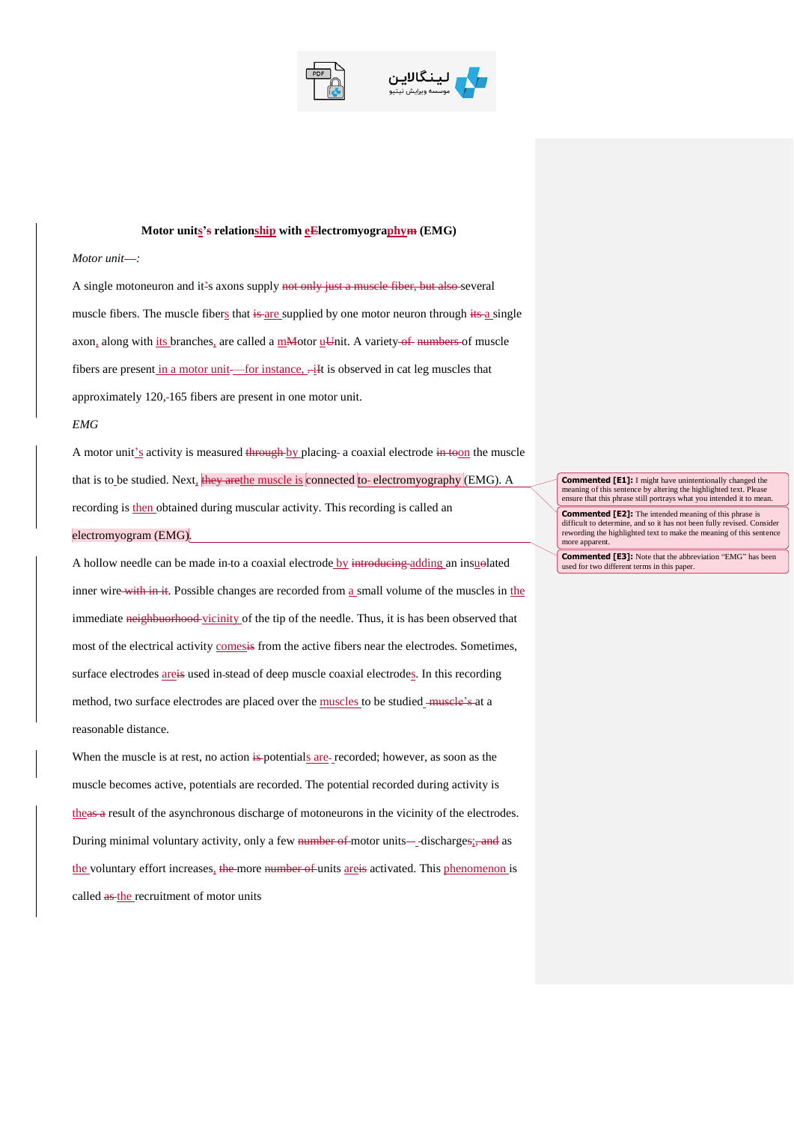



## **Motor units's relationship with eElectromyographym (EMG)**

## *Motor unit*-:

A single motoneuron and it's axons supply not only just a muscle fiber, but also several muscle fibers. The muscle fibers that is are supplied by one motor neuron through its a single axon, along with its branches, are called a mMotor  $u$ Unit. A variety of numbers of muscle fibers are present in a motor unit—for instance,  $-iI$  is observed in cat leg muscles that approximately 120,-165 fibers are present in one motor unit.

## *EMG*

A motor unit's activity is measured through by placing a coaxial electrode in toon the muscle that is to be studied. Next, they are the muscle is connected to-electromyography (EMG). A recording is then obtained during muscular activity. This recording is called an electromyogram (EMG).

A hollow needle can be made in-to a coaxial electrode by introducing adding an insuelated inner wire with in it. Possible changes are recorded from a small volume of the muscles in the immediate neighbuorhood vicinity of the tip of the needle. Thus, it is has been observed that most of the electrical activity comesis from the active fibers near the electrodes. Sometimes, surface electrodes are is used in-stead of deep muscle coaxial electrodes. In this recording method, two surface electrodes are placed over the muscles to be studied - muscle's at a reasonable distance.

When the muscle is at rest, no action is potentials are recorded; however, as soon as the muscle becomes active, potentials are recorded. The potential recorded during activity is theas a result of the asynchronous discharge of motoneurons in the vicinity of the electrodes. During minimal voluntary activity, only a few number of motor units—discharges; and as the voluntary effort increases, the more number of units areis activated. This phenomenon is called  $a$ s-the recruitment of motor units

**Commented [E1]:** I might have unintentionally changed the meaning of this sentence by altering the highlighted text. Please ensure that this phrase still portrays what you intended it to mean.

**Commented [E2]:** The intended meaning of this phrase is difficult to determine, and so it has not been fully revised. Consider rewording the highlighted text to make the meaning of this sentence more apparent

**Commented [E3]:** Note that the abbreviation "EMG" has been used for two different terms in this paper.